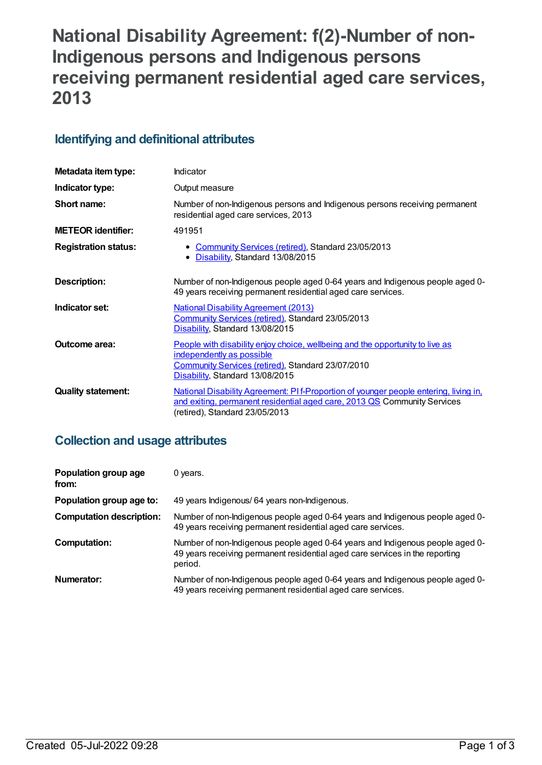# **National Disability Agreement: f(2)-Number of non-Indigenous persons and Indigenous persons receiving permanent residential aged care services, 2013**

# **Identifying and definitional attributes**

| Metadata item type:         | Indicator                                                                                                                                                                                          |
|-----------------------------|----------------------------------------------------------------------------------------------------------------------------------------------------------------------------------------------------|
| Indicator type:             | Output measure                                                                                                                                                                                     |
| Short name:                 | Number of non-Indigenous persons and Indigenous persons receiving permanent<br>residential aged care services, 2013                                                                                |
| <b>METEOR identifier:</b>   | 491951                                                                                                                                                                                             |
| <b>Registration status:</b> | • Community Services (retired), Standard 23/05/2013<br>• Disability, Standard 13/08/2015                                                                                                           |
| Description:                | Number of non-Indigenous people aged 0-64 years and Indigenous people aged 0-<br>49 years receiving permanent residential aged care services.                                                      |
| Indicator set:              | <b>National Disability Agreement (2013)</b><br>Community Services (retired), Standard 23/05/2013<br>Disability, Standard 13/08/2015                                                                |
| <b>Outcome area:</b>        | People with disability enjoy choice, wellbeing and the opportunity to live as<br>independently as possible<br>Community Services (retired), Standard 23/07/2010<br>Disability, Standard 13/08/2015 |
| <b>Quality statement:</b>   | National Disability Agreement: PIf-Proportion of younger people entering, living in,<br>and exiting, permanent residential aged care, 2013 QS Community Services<br>(retired), Standard 23/05/2013 |

# **Collection and usage attributes**

| Population group age<br>from:   | 0 years.                                                                                                                                                                 |
|---------------------------------|--------------------------------------------------------------------------------------------------------------------------------------------------------------------------|
| Population group age to:        | 49 years Indigenous/ 64 years non-Indigenous.                                                                                                                            |
| <b>Computation description:</b> | Number of non-Indigenous people aged 0-64 years and Indigenous people aged 0-<br>49 years receiving permanent residential aged care services.                            |
| <b>Computation:</b>             | Number of non-Indigenous people aged 0-64 years and Indigenous people aged 0-<br>49 years receiving permanent residential aged care services in the reporting<br>period. |
| Numerator:                      | Number of non-Indigenous people aged 0-64 years and Indigenous people aged 0-<br>49 years receiving permanent residential aged care services.                            |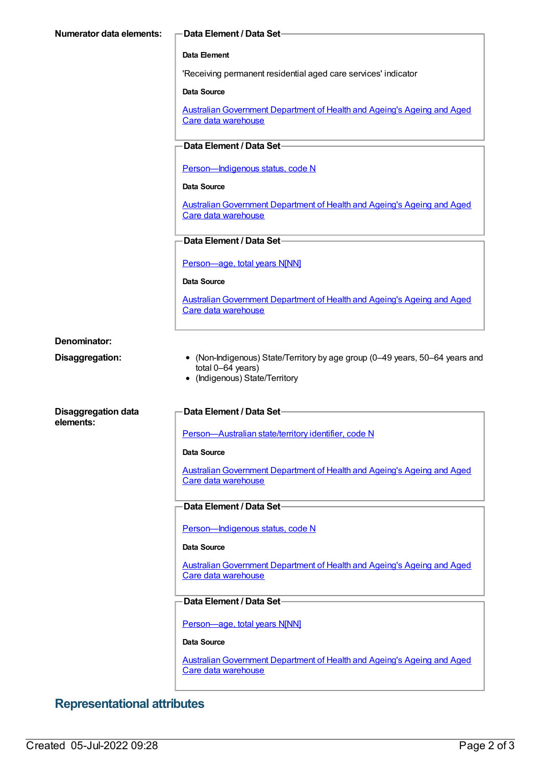| Numerator data elements:                | -Data Element / Data Set                                                                                                            |
|-----------------------------------------|-------------------------------------------------------------------------------------------------------------------------------------|
|                                         | Data Element                                                                                                                        |
|                                         | 'Receiving permanent residential aged care services' indicator                                                                      |
|                                         | Data Source                                                                                                                         |
|                                         | Australian Government Department of Health and Ageing's Ageing and Aged<br>Care data warehouse                                      |
|                                         | Data Element / Data Set-                                                                                                            |
|                                         | Person-Indigenous status, code N                                                                                                    |
|                                         | Data Source                                                                                                                         |
|                                         | Australian Government Department of Health and Ageing's Ageing and Aged<br>Care data warehouse                                      |
|                                         | Data Element / Data Set-                                                                                                            |
|                                         | Person-age, total years N[NN]                                                                                                       |
|                                         | <b>Data Source</b>                                                                                                                  |
|                                         | Australian Government Department of Health and Ageing's Ageing and Aged                                                             |
|                                         | Care data warehouse                                                                                                                 |
| Denominator:                            |                                                                                                                                     |
| Disaggregation:                         | • (Non-Indigenous) State/Territory by age group (0-49 years, 50-64 years and<br>total 0-64 years)<br>• (Indigenous) State/Territory |
| <b>Disaggregation data</b><br>elements: | <b>Data Element / Data Set-</b>                                                                                                     |
|                                         | Person-Australian state/territory identifier, code N                                                                                |
|                                         | Data Source                                                                                                                         |
|                                         | Australian Government Department of Health and Ageing's Ageing and Aged<br>Care data warehouse                                      |
|                                         | Data Element / Data Set-                                                                                                            |
|                                         | Person-Indigenous status, code N                                                                                                    |
|                                         | Data Source                                                                                                                         |
|                                         | <b>Australian Government Department of Health and Ageing's Ageing and Aged</b><br>Care data warehouse                               |
|                                         | Data Element / Data Set-                                                                                                            |
|                                         | Person-age, total years N[NN]                                                                                                       |
|                                         | Data Source                                                                                                                         |
|                                         | Australian Government Department of Health and Ageing's Ageing and Aged<br>Care data warehouse                                      |

# **Representational attributes**